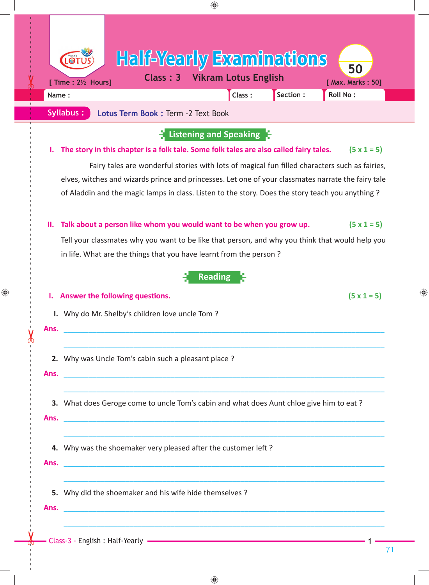| Name:                                                  | <b>Half-Yearly Examinations</b><br>$\bigcirc$<br>50<br><b>Vikram Lotus English</b><br>Class: 3<br>[ Time : 21/2 Hours]<br>[ Max. Marks: 50]<br>Section :<br>Roll No:<br>Class:                                                                                                                                                                                                                                                                     |
|--------------------------------------------------------|----------------------------------------------------------------------------------------------------------------------------------------------------------------------------------------------------------------------------------------------------------------------------------------------------------------------------------------------------------------------------------------------------------------------------------------------------|
|                                                        | Syllabus:<br>Lotus Term Book : Term -2 Text Book                                                                                                                                                                                                                                                                                                                                                                                                   |
| Ι.                                                     | Listening and Speaking<br>The story in this chapter is a folk tale. Some folk tales are also called fairy tales.<br>$(5 \times 1 = 5)$<br>Fairy tales are wonderful stories with lots of magical fun filled characters such as fairies,<br>elves, witches and wizards prince and princesses. Let one of your classmates narrate the fairy tale<br>of Aladdin and the magic lamps in class. Listen to the story. Does the story teach you anything? |
| Ш.                                                     | $(5 \times 1 = 5)$<br>Talk about a person like whom you would want to be when you grow up.<br>Tell your classmates why you want to be like that person, and why you think that would help you<br>in life. What are the things that you have learnt from the person?                                                                                                                                                                                |
|                                                        | <b>Reading</b><br>Answer the following questions.<br>$(5 \times 1 = 5)$                                                                                                                                                                                                                                                                                                                                                                            |
| Ans.                                                   | I. Why do Mr. Shelby's children love uncle Tom?<br><u> 2000 - Andrea Andrewski, amerikansk politik (d. 1982)</u>                                                                                                                                                                                                                                                                                                                                   |
| Ans.                                                   | 2. Why was Uncle Tom's cabin such a pleasant place?<br><u> 1980 - Johann Stein, marwolaethau (b. 1980)</u>                                                                                                                                                                                                                                                                                                                                         |
|                                                        | 3. What does Geroge come to uncle Tom's cabin and what does Aunt chloe give him to eat?<br>Ans. The contract of the contract of the contract of the contract of the contract of the contract of the contract of the contract of the contract of the contract of the contract of the contract of the contract of the contr                                                                                                                          |
|                                                        | 4. Why was the shoemaker very pleased after the customer left?<br>Ans. The contract of the contract of the contract of the contract of the contract of the contract of the contract of the contract of the contract of the contract of the contract of the contract of the contract of the contr                                                                                                                                                   |
| 5. Why did the shoemaker and his wife hide themselves? |                                                                                                                                                                                                                                                                                                                                                                                                                                                    |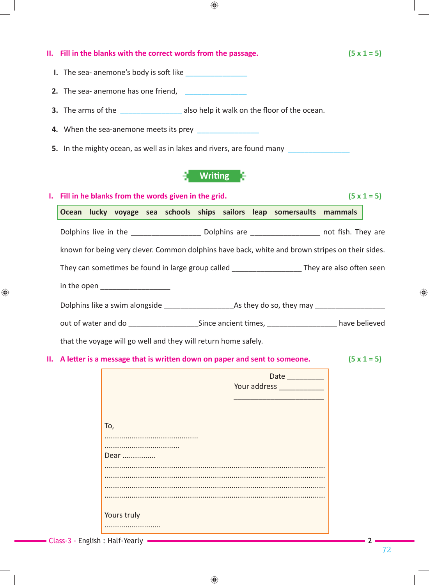|    |                                                                                         |     |                                 |  | II. Fill in the blanks with the correct words from the passage.          |                |  |  |                                                                                                                 |  |                                                                                                                   | $(5 \times 1 = 5)$ |
|----|-----------------------------------------------------------------------------------------|-----|---------------------------------|--|--------------------------------------------------------------------------|----------------|--|--|-----------------------------------------------------------------------------------------------------------------|--|-------------------------------------------------------------------------------------------------------------------|--------------------|
|    |                                                                                         |     |                                 |  | I. The sea- anemone's body is soft like                                  |                |  |  |                                                                                                                 |  |                                                                                                                   |                    |
|    |                                                                                         |     |                                 |  |                                                                          |                |  |  |                                                                                                                 |  |                                                                                                                   |                    |
|    | 3. The arms of the _______________________ also help it walk on the floor of the ocean. |     |                                 |  |                                                                          |                |  |  |                                                                                                                 |  |                                                                                                                   |                    |
|    |                                                                                         |     |                                 |  | 4. When the sea-anemone meets its prey                                   |                |  |  |                                                                                                                 |  |                                                                                                                   |                    |
|    |                                                                                         |     |                                 |  |                                                                          |                |  |  |                                                                                                                 |  |                                                                                                                   |                    |
|    |                                                                                         |     |                                 |  | 5. In the mighty ocean, as well as in lakes and rivers, are found many   |                |  |  |                                                                                                                 |  |                                                                                                                   |                    |
|    |                                                                                         |     |                                 |  |                                                                          | <b>Writing</b> |  |  |                                                                                                                 |  |                                                                                                                   |                    |
|    |                                                                                         |     |                                 |  | Fill in he blanks from the words given in the grid.                      |                |  |  |                                                                                                                 |  |                                                                                                                   | $(5 \times 1 = 5)$ |
|    |                                                                                         |     |                                 |  |                                                                          |                |  |  |                                                                                                                 |  | Ocean lucky voyage sea schools ships sailors leap somersaults mammals                                             |                    |
|    |                                                                                         |     |                                 |  |                                                                          |                |  |  |                                                                                                                 |  |                                                                                                                   |                    |
|    |                                                                                         |     |                                 |  |                                                                          |                |  |  |                                                                                                                 |  | Dolphins live in the ________________________________Dolphins are ____________________________ not fish. They are |                    |
|    |                                                                                         |     |                                 |  |                                                                          |                |  |  |                                                                                                                 |  |                                                                                                                   |                    |
|    |                                                                                         |     |                                 |  |                                                                          |                |  |  |                                                                                                                 |  | known for being very clever. Common dolphins have back, white and brown stripes on their sides.                   |                    |
|    |                                                                                         |     |                                 |  |                                                                          |                |  |  |                                                                                                                 |  |                                                                                                                   |                    |
|    |                                                                                         |     |                                 |  |                                                                          |                |  |  |                                                                                                                 |  | They can sometimes be found in large group called _______________________They are also often seen                 |                    |
|    |                                                                                         |     | in the open ___________________ |  |                                                                          |                |  |  |                                                                                                                 |  |                                                                                                                   |                    |
|    |                                                                                         |     |                                 |  |                                                                          |                |  |  |                                                                                                                 |  |                                                                                                                   |                    |
|    |                                                                                         |     |                                 |  |                                                                          |                |  |  |                                                                                                                 |  |                                                                                                                   |                    |
|    |                                                                                         |     |                                 |  |                                                                          |                |  |  |                                                                                                                 |  |                                                                                                                   |                    |
|    |                                                                                         |     |                                 |  | that the voyage will go well and they will return home safely.           |                |  |  |                                                                                                                 |  |                                                                                                                   |                    |
|    |                                                                                         |     |                                 |  | A letter is a message that is written down on paper and sent to someone. |                |  |  |                                                                                                                 |  |                                                                                                                   | $(5 \times 1 = 5)$ |
|    |                                                                                         |     |                                 |  |                                                                          |                |  |  | Date                                                                                                            |  |                                                                                                                   |                    |
| Ш. |                                                                                         |     |                                 |  |                                                                          |                |  |  | Your address and the state of the state of the state of the state of the state of the state of the state of the |  |                                                                                                                   |                    |
|    |                                                                                         |     |                                 |  |                                                                          |                |  |  |                                                                                                                 |  |                                                                                                                   |                    |
|    |                                                                                         |     |                                 |  |                                                                          |                |  |  |                                                                                                                 |  |                                                                                                                   |                    |
|    |                                                                                         | To, |                                 |  |                                                                          |                |  |  |                                                                                                                 |  |                                                                                                                   |                    |
|    |                                                                                         |     |                                 |  |                                                                          |                |  |  |                                                                                                                 |  |                                                                                                                   |                    |
|    |                                                                                         |     | Dear                            |  |                                                                          |                |  |  |                                                                                                                 |  |                                                                                                                   |                    |
|    |                                                                                         |     |                                 |  |                                                                          |                |  |  |                                                                                                                 |  |                                                                                                                   |                    |
|    |                                                                                         |     |                                 |  |                                                                          |                |  |  |                                                                                                                 |  |                                                                                                                   |                    |
|    |                                                                                         |     |                                 |  |                                                                          |                |  |  |                                                                                                                 |  |                                                                                                                   |                    |
|    |                                                                                         |     | Yours truly                     |  |                                                                          |                |  |  |                                                                                                                 |  |                                                                                                                   |                    |

 $\bigoplus$ 

 $\bigoplus$ 

 $\bigoplus$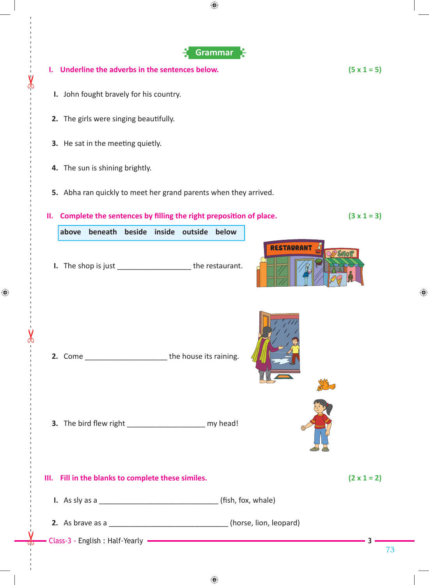

♠